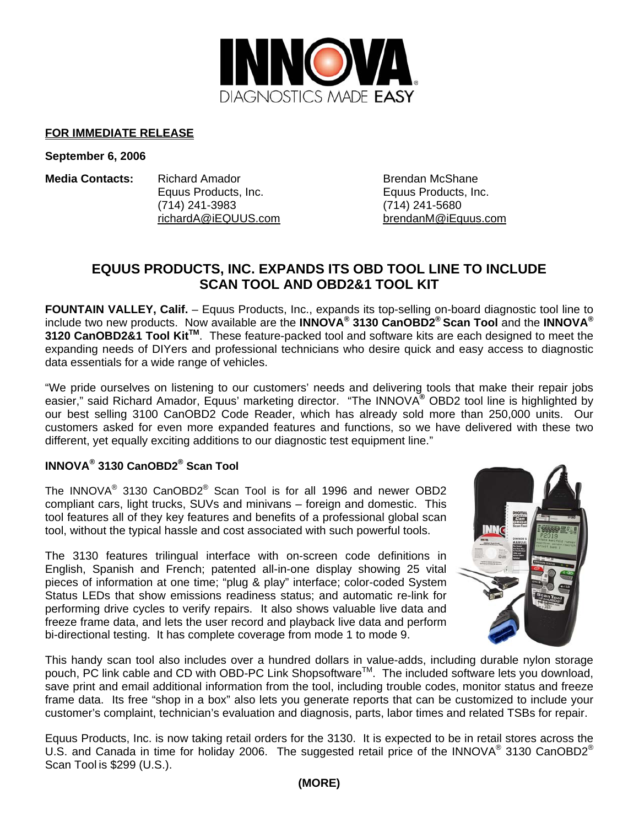

#### **FOR IMMEDIATE RELEASE**

**September 6, 2006** 

**Media Contacts:** Richard Amador **Brendan McShane**  Equus Products, Inc. Equus Products, Inc. (714) 241-3983 (714) 241-5680 richardA@iEQUUS.com brendanM@iEquus.com

# **EQUUS PRODUCTS, INC. EXPANDS ITS OBD TOOL LINE TO INCLUDE SCAN TOOL AND OBD2&1 TOOL KIT**

FOUNTAIN VALLEY, Calif. - Equus Products, Inc., expands its top-selling on-board diagnostic tool line to include two new products. Now available are the **INNOVA® 3130 CanOBD2® Scan Tool** and the **INNOVA® 3120 CanOBD2&1 Tool KitTM**. These feature-packed tool and software kits are each designed to meet the expanding needs of DIYers and professional technicians who desire quick and easy access to diagnostic data essentials for a wide range of vehicles.

"We pride ourselves on listening to our customers' needs and delivering tools that make their repair jobs easier," said Richard Amador, Equus' marketing director. "The INNOVA**®** OBD2 tool line is highlighted by our best selling 3100 CanOBD2 Code Reader, which has already sold more than 250,000 units. Our customers asked for even more expanded features and functions, so we have delivered with these two different, yet equally exciting additions to our diagnostic test equipment line."

# **INNOVA® 3130 CanOBD2® Scan Tool**

The INNOVA® 3130 CanOBD2® Scan Tool is for all 1996 and newer OBD2 compliant cars, light trucks, SUVs and minivans – foreign and domestic. This tool features all of they key features and benefits of a professional global scan tool, without the typical hassle and cost associated with such powerful tools.

The 3130 features trilingual interface with on-screen code definitions in English, Spanish and French; patented all-in-one display showing 25 vital pieces of information at one time; "plug & play" interface; color-coded System Status LEDs that show emissions readiness status; and automatic re-link for performing drive cycles to verify repairs. It also shows valuable live data and freeze frame data, and lets the user record and playback live data and perform bi-directional testing. It has complete coverage from mode 1 to mode 9.



This handy scan tool also includes over a hundred dollars in value-adds, including durable nylon storage pouch, PC link cable and CD with OBD-PC Link Shopsoftware™. The included software lets you download, save print and email additional information from the tool, including trouble codes, monitor status and freeze frame data. Its free "shop in a box" also lets you generate reports that can be customized to include your customer's complaint, technician's evaluation and diagnosis, parts, labor times and related TSBs for repair.

Equus Products, Inc. is now taking retail orders for the 3130. It is expected to be in retail stores across the U.S. and Canada in time for holiday 2006. The suggested retail price of the INNOVA<sup>®</sup> 3130 CanOBD2<sup>®</sup> Scan Tool is \$299 (U.S.).